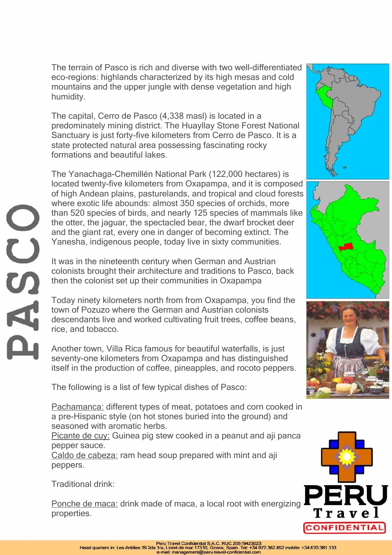The terrain of Pasco is rich and diverse with two well-differentiated eco-regions: highlands characterized by its high mesas and cold mountains and the upper jungle with dense vegetation and high humidity.

The capital, Cerro de Pasco (4,338 masl) is located in a predominately mining district. The Huayllay Stone Forest National Sanctuary is just forty-five kilometers from Cerro de Pasco. It is a state protected natural area possessing fascinating rocky formations and beautiful lakes.

The Yanachaga-Chemillén National Park (122,000 hectares) is located twenty-five kilometers from Oxapampa, and it is composed of high Andean plains, pasturelands, and tropical and cloud forests where exotic life abounds: almost 350 species of orchids, more than 520 species of birds, and nearly 125 species of mammals like the otter, the jaguar, the spectacled bear, the dwarf brocket deer and the giant rat, every one in danger of becoming extinct. The Yanesha, indigenous people, today live in sixty communities.

It was in the nineteenth century when German and Austrian colonists brought their architecture and traditions to Pasco, back then the colonist set up their communities in Oxapampa

Today ninety kilometers north from from Oxapampa, you find the town of Pozuzo where the German and Austrian colonists descendants live and worked cultivating fruit trees, coffee beans, rice, and tobacco.

Another town, Villa Rica famous for beautiful waterfalls, is just seventy-one kilometers from Oxapampa and has distinguished itself in the production of coffee, pineapples, and rocoto peppers.

The following is a list of few typical dishes of Pasco:

Pachamanca: different types of meat, potatoes and corn cooked in a pre-Hispanic style (on hot stones buried into the ground) and seasoned with aromatic herbs.

Picante de cuy: Guinea pig stew cooked in a peanut and aji panca pepper sauce.

Caldo de cabeza: ram head soup prepared with mint and aji peppers.

Traditional drink:

Ponche de maca: drink made of maca, a local root with energizing properties.









 $\overline{C}$ ÄH